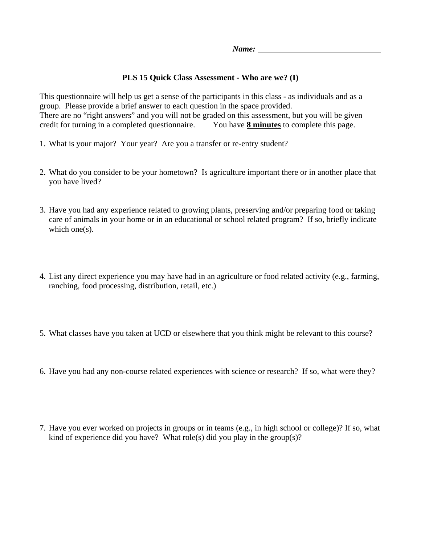## **PLS 15 Quick Class Assessment - Who are we? (I)**

This questionnaire will help us get a sense of the participants in this class - as individuals and as a group. Please provide a brief answer to each question in the space provided. There are no "right answers" and you will not be graded on this assessment, but you will be given credit for turning in a completed questionnaire. You have **8 minutes** to complete this page.

- 1. What is your major? Your year? Are you a transfer or re-entry student?
- 2. What do you consider to be your hometown? Is agriculture important there or in another place that you have lived?
- 3. Have you had any experience related to growing plants, preserving and/or preparing food or taking care of animals in your home or in an educational or school related program? If so, briefly indicate which one(s).
- 4. List any direct experience you may have had in an agriculture or food related activity (e.g., farming, ranching, food processing, distribution, retail, etc.)
- 5. What classes have you taken at UCD or elsewhere that you think might be relevant to this course?
- 6. Have you had any non-course related experiences with science or research? If so, what were they?
- 7. Have you ever worked on projects in groups or in teams (e.g., in high school or college)? If so, what kind of experience did you have? What role(s) did you play in the group(s)?